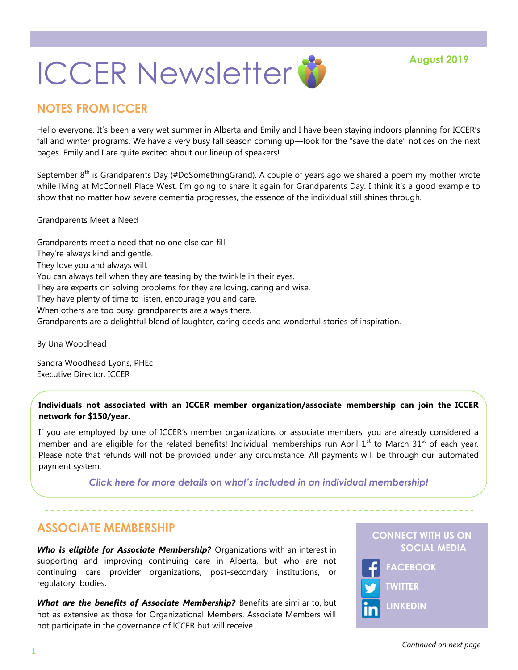# **ICCER Newsletter &**

# **NOTES FROM ICCER**

Hello everyone. It's been a very wet summer in Alberta and Emily and I have been staying indoors planning for ICCER's fall and winter programs. We have a very busy fall season coming up—look for the "save the date" notices on the next pages. Emily and I are quite excited about our lineup of speakers!

September 8<sup>th</sup> is Grandparents Day (#DoSomethingGrand). A couple of years ago we shared a poem my mother wrote while living at McConnell Place West. I'm going to share it again for Grandparents Day. I think it's a good example to show that no matter how severe dementia progresses, the essence of the individual still shines through.

#### Grandparents Meet a Need

Grandparents meet a need that no one else can fill. They're always kind and gentle. They love you and always will. You can always tell when they are teasing by the twinkle in their eyes. They are experts on solving problems for they are loving, caring and wise. They have plenty of time to listen, encourage you and care. When others are too busy, grandparents are always there. Grandparents are a delightful blend of laughter, caring deeds and wonderful stories of inspiration.

By Una Woodhead

Sandra Woodhead Lyons, PHEc Executive Director, ICCER

#### **Individuals not associated with an ICCER member organization/associate membership can join the ICCER network for \$150/year.**

If you are employed by one of ICCER's member organizations or associate members, you are already considered a member and are eligible for the related benefits! Individual memberships run April  $1<sup>st</sup>$  to March 31<sup>st</sup> of each year. Please note that refunds will not be provided under any circumstance. All payments will be through our automated [payment system.](https://payment.augustana.ualberta.ca/store/Rehab+Medicine+-+ICCER+Store/) 

*[Click here for more details on what's included in an individual membership!](http://iccer.ca/im.html)*

## **ASSOCIATE MEMBERSHIP**

*Who is eligible for Associate Membership?* Organizations with an interest in supporting and improving continuing care in Alberta, but who are not continuing care provider organizations, post-secondary institutions, or regulatory bodies.

What are the benefits of Associate Membership? Benefits are similar to, but not as extensive as those for Organizational Members. Associate Members will not participate in the governance of ICCER but will receive…

#### **CONNECT WITH US ON SOCIAL MEDIA**

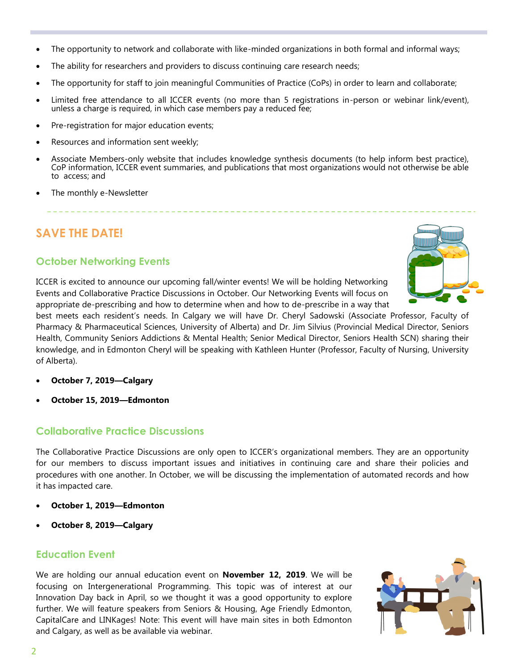- The opportunity to network and collaborate with like-minded organizations in both formal and informal ways;
- The ability for researchers and providers to discuss continuing care research needs;
- The opportunity for staff to join meaningful Communities of Practice (CoPs) in order to learn and collaborate;
- Limited free attendance to all ICCER events (no more than 5 registrations in-person or webinar link/event), unless a charge is required, in which case members pay a reduced fee;
- Pre-registration for major education events;
- Resources and information sent weekly;
- Associate Members-only website that includes knowledge synthesis documents (to help inform best practice), CoP information, ICCER event summaries, and publications that most organizations would not otherwise be able to access; and
- The monthly e-Newsletter

# **SAVE THE DATE!**

### **October Networking Events**

ICCER is excited to announce our upcoming fall/winter events! We will be holding Networking Events and Collaborative Practice Discussions in October. Our Networking Events will focus on appropriate de-prescribing and how to determine when and how to de-prescribe in a way that



best meets each resident's needs. In Calgary we will have Dr. Cheryl Sadowski (Associate Professor, Faculty of Pharmacy & Pharmaceutical Sciences, University of Alberta) and Dr. Jim Silvius (Provincial Medical Director, Seniors Health, Community Seniors Addictions & Mental Health; Senior Medical Director, Seniors Health SCN) sharing their knowledge, and in Edmonton Cheryl will be speaking with Kathleen Hunter (Professor, Faculty of Nursing, University of Alberta).

- **October 7, 2019—Calgary**
- **October 15, 2019—Edmonton**

#### **Collaborative Practice Discussions**

The Collaborative Practice Discussions are only open to ICCER's organizational members. They are an opportunity for our members to discuss important issues and initiatives in continuing care and share their policies and procedures with one another. In October, we will be discussing the implementation of automated records and how it has impacted care.

- **October 1, 2019—Edmonton**
- **October 8, 2019—Calgary**

#### **Education Event**

We are holding our annual education event on **November 12, 2019**. We will be focusing on Intergenerational Programming. This topic was of interest at our Innovation Day back in April, so we thought it was a good opportunity to explore further. We will feature speakers from Seniors & Housing, Age Friendly Edmonton, CapitalCare and LINKages! Note: This event will have main sites in both Edmonton and Calgary, as well as be available via webinar.

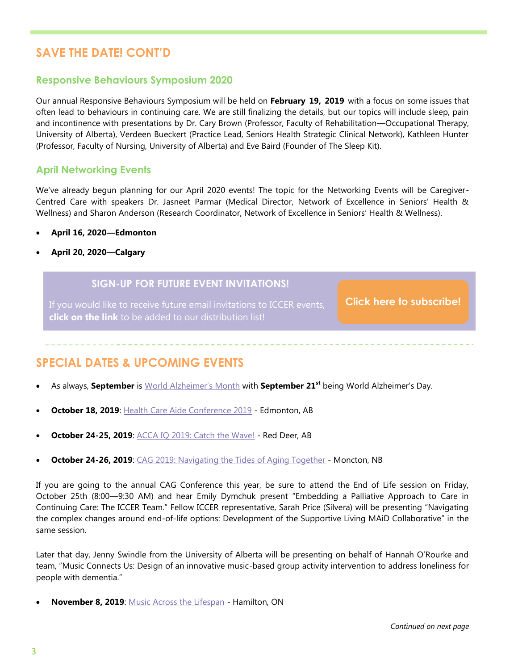# **SAVE THE DATE! CONT'D**

#### **Responsive Behaviours Symposium 2020**

Our annual Responsive Behaviours Symposium will be held on **February 19, 2019** with a focus on some issues that often lead to behaviours in continuing care. We are still finalizing the details, but our topics will include sleep, pain and incontinence with presentations by Dr. Cary Brown (Professor, Faculty of Rehabilitation—Occupational Therapy, University of Alberta), Verdeen Bueckert (Practice Lead, Seniors Health Strategic Clinical Network), Kathleen Hunter (Professor, Faculty of Nursing, University of Alberta) and Eve Baird (Founder of The Sleep Kit).

#### **April Networking Events**

We've already begun planning for our April 2020 events! The topic for the Networking Events will be Caregiver-Centred Care with speakers Dr. Jasneet Parmar (Medical Director, Network of Excellence in Seniors' Health & Wellness) and Sharon Anderson (Research Coordinator, Network of Excellence in Seniors' Health & Wellness).

- **April 16, 2020—Edmonton**
- **April 20, 2020—Calgary**

#### **SIGN-UP FOR FUTURE EVENT INVITATIONS!**

If you would like to receive future email invitations to ICCER events, **click on the link** to be added to our distribution list!

**[Click here to subscribe!](https://visitor.r20.constantcontact.com/manage/optin?v=001MqUcqqvjwLD850nipaor0HtdI1Y9d8ED2u9ivDzRV7Gp5uTyf2p54vfsufOQXL7BcGZnnLM-9yRAw3TIqncd_CNV4yZzfE9gE8XUs-KE6So%3D)**

## **SPECIAL DATES & UPCOMING EVENTS**

- As always, **September** is [World Alzheimer's Month](https://www.worldalzmonth.org/) with **September 21st** being World Alzheimer's Day.
- **October 18, 2019**: [Health Care Aide Conference 2019](https://www.norquest.ca/media-centre/events/2019/health-care-aide-conference-2019.aspx) Edmonton, AB
- **October 24-25, 2019: [ACCA IQ 2019: Catch the Wave!](http://www.accaiq.com/) Red Deer, AB**
- **October 24-26, 2019**: [CAG 2019: Navigating the Tides of Aging Together](https://cag2019.ca/) Moncton, NB

If you are going to the annual CAG Conference this year, be sure to attend the End of Life session on Friday, October 25th (8:00—9:30 AM) and hear Emily Dymchuk present "Embedding a Palliative Approach to Care in Continuing Care: The ICCER Team." Fellow ICCER representative, Sarah Price (Silvera) will be presenting "Navigating the complex changes around end-of-life options: Development of the Supportive Living MAiD Collaborative" in the same session.

Later that day, Jenny Swindle from the University of Alberta will be presenting on behalf of Hannah O'Rourke and team, "Music Connects Us: Design of an innovative music-based group activity intervention to address loneliness for people with dementia."

**November 8, 2019**: [Music Across the Lifespan](https://www.musiccareconference.ca/event-music-across-lifespan-2019) - Hamilton, ON